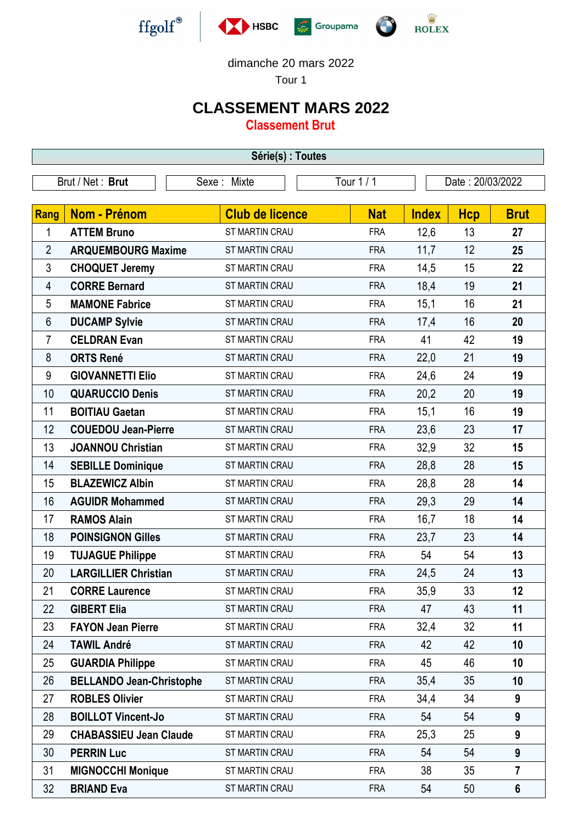





dimanche 20 mars 2022

Tour 1

## **CLASSEMENT MARS 2022**

**Classement Brut**

| Série(s) : Toutes |                                 |                        |            |              |                  |                |  |  |  |
|-------------------|---------------------------------|------------------------|------------|--------------|------------------|----------------|--|--|--|
| Brut / Net: Brut  |                                 | Sexe: Mixte            | Tour 1 / 1 |              | Date: 20/03/2022 |                |  |  |  |
|                   |                                 |                        |            |              |                  |                |  |  |  |
| Rang              | <b>Nom - Prénom</b>             | <b>Club de licence</b> | <b>Nat</b> | <b>Index</b> | <b>Hcp</b>       | <b>Brut</b>    |  |  |  |
| 1                 | <b>ATTEM Bruno</b>              | ST MARTIN CRAU         | <b>FRA</b> | 12,6         | 13               | 27             |  |  |  |
| $\overline{2}$    | <b>ARQUEMBOURG Maxime</b>       | ST MARTIN CRAU         | <b>FRA</b> | 11,7         | 12               | 25             |  |  |  |
| 3                 | <b>CHOQUET Jeremy</b>           | ST MARTIN CRAU         | <b>FRA</b> | 14,5         | 15               | 22             |  |  |  |
| 4                 | <b>CORRE Bernard</b>            | ST MARTIN CRAU         | <b>FRA</b> | 18,4         | 19               | 21             |  |  |  |
| 5                 | <b>MAMONE Fabrice</b>           | <b>ST MARTIN CRAU</b>  | <b>FRA</b> | 15,1         | 16               | 21             |  |  |  |
| $6\,$             | <b>DUCAMP Sylvie</b>            | ST MARTIN CRAU         | <b>FRA</b> | 17,4         | 16               | 20             |  |  |  |
| $\overline{7}$    | <b>CELDRAN Evan</b>             | ST MARTIN CRAU         | <b>FRA</b> | 41           | 42               | 19             |  |  |  |
| 8                 | <b>ORTS René</b>                | ST MARTIN CRAU         | <b>FRA</b> | 22,0         | 21               | 19             |  |  |  |
| 9                 | <b>GIOVANNETTI Elio</b>         | <b>ST MARTIN CRAU</b>  | <b>FRA</b> | 24,6         | 24               | 19             |  |  |  |
| 10                | <b>QUARUCCIO Denis</b>          | ST MARTIN CRAU         | <b>FRA</b> | 20,2         | 20               | 19             |  |  |  |
| 11                | <b>BOITIAU Gaetan</b>           | <b>ST MARTIN CRAU</b>  | <b>FRA</b> | 15,1         | 16               | 19             |  |  |  |
| 12                | <b>COUEDOU Jean-Pierre</b>      | <b>ST MARTIN CRAU</b>  | <b>FRA</b> | 23,6         | 23               | 17             |  |  |  |
| 13                | <b>JOANNOU Christian</b>        | ST MARTIN CRAU         | <b>FRA</b> | 32,9         | 32               | 15             |  |  |  |
| 14                | <b>SEBILLE Dominique</b>        | ST MARTIN CRAU         | <b>FRA</b> | 28,8         | 28               | 15             |  |  |  |
| 15                | <b>BLAZEWICZ Albin</b>          | ST MARTIN CRAU         | <b>FRA</b> | 28,8         | 28               | 14             |  |  |  |
| 16                | <b>AGUIDR Mohammed</b>          | <b>ST MARTIN CRAU</b>  | <b>FRA</b> | 29,3         | 29               | 14             |  |  |  |
| 17                | <b>RAMOS Alain</b>              | ST MARTIN CRAU         | <b>FRA</b> | 16,7         | 18               | 14             |  |  |  |
| 18                | <b>POINSIGNON Gilles</b>        | ST MARTIN CRAU         | <b>FRA</b> | 23,7         | 23               | 14             |  |  |  |
| 19                | <b>TUJAGUE Philippe</b>         | <b>ST MARTIN CRAU</b>  | <b>FRA</b> | 54           | 54               | 13             |  |  |  |
| 20                | <b>LARGILLIER Christian</b>     | ST MARTIN CRAU         | <b>FRA</b> | 24,5         | 24               | 13             |  |  |  |
| 21                | <b>CORRE Laurence</b>           | <b>ST MARTIN CRAU</b>  | <b>FRA</b> | 35,9         | 33               | 12             |  |  |  |
| 22                | <b>GIBERT Elia</b>              | ST MARTIN CRAU         | <b>FRA</b> | 47           | 43               | 11             |  |  |  |
| 23                | <b>FAYON Jean Pierre</b>        | ST MARTIN CRAU         | <b>FRA</b> | 32,4         | 32               | 11             |  |  |  |
| 24                | <b>TAWIL André</b>              | ST MARTIN CRAU         | <b>FRA</b> | 42           | 42               | 10             |  |  |  |
| 25                | <b>GUARDIA Philippe</b>         | ST MARTIN CRAU         | <b>FRA</b> | 45           | 46               | 10             |  |  |  |
| 26                | <b>BELLANDO Jean-Christophe</b> | ST MARTIN CRAU         | <b>FRA</b> | 35,4         | 35               | 10             |  |  |  |
| 27                | <b>ROBLES Olivier</b>           | ST MARTIN CRAU         | <b>FRA</b> | 34,4         | 34               | 9              |  |  |  |
| 28                | <b>BOILLOT Vincent-Jo</b>       | ST MARTIN CRAU         | <b>FRA</b> | 54           | 54               | 9              |  |  |  |
| 29                | <b>CHABASSIEU Jean Claude</b>   | ST MARTIN CRAU         | <b>FRA</b> | 25,3         | 25               | 9              |  |  |  |
| 30                | <b>PERRIN Luc</b>               | ST MARTIN CRAU         | <b>FRA</b> | 54           | 54               | 9              |  |  |  |
| 31                | <b>MIGNOCCHI Monique</b>        | ST MARTIN CRAU         | <b>FRA</b> | 38           | 35               | $\overline{7}$ |  |  |  |
| 32                | <b>BRIAND Eva</b>               | ST MARTIN CRAU         | <b>FRA</b> | 54           | 50               | $6\phantom{1}$ |  |  |  |